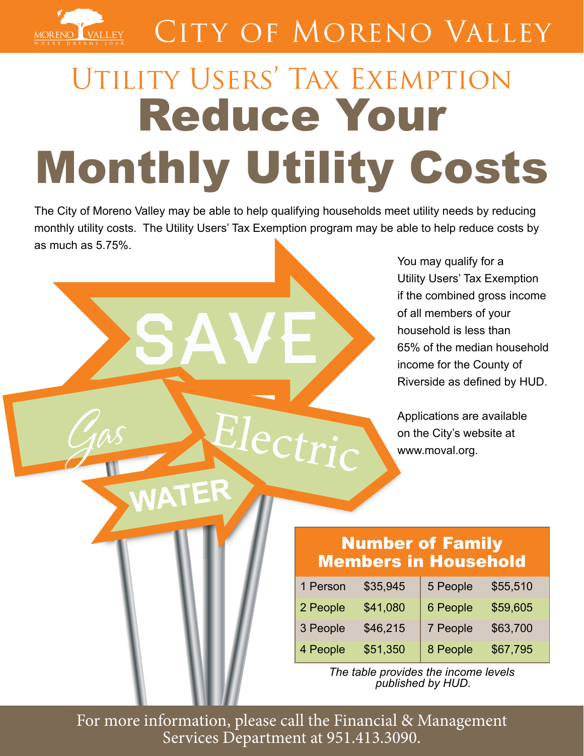

## CITY OF MORENO VALLEY

# Utility Users' Tax Exemption Reduce Your Monthly Utility Costs

The City of Moreno Valley may be able to help qualifying households meet utility needs by reducing monthly utility costs. The Utility Users' Tax Exemption program may be able to help reduce costs by as much as 5.75%.

Actri

**NATE** 

You may qualify for a Utility Users' Tax Exemption if the combined gross income of all members of your household is less than 65% of the median household income for the County of Riverside as defined by HUD.

Applications are available on the City's website at www.moval.org.

### Number of Family Members in Household

| 1 Person | \$35,945 | 5 People | \$55,510 |
|----------|----------|----------|----------|
| 2 People | \$41,080 | 6 People | \$59,605 |
| 3 People | \$46,215 | 7 People | \$63,700 |
| 4 People | \$51,350 | 8 People | \$67,795 |

*The table provides the income levels published by HUD.*

For more information, please call the Financial & Management Services Department at 951.413.3090.